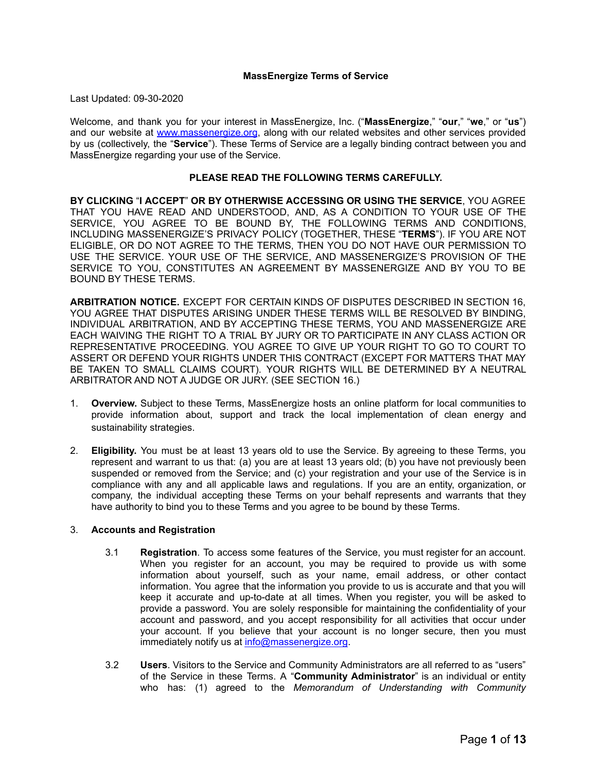#### **MassEnergize Terms of Service**

Last Updated: 09-30-2020

Welcome, and thank you for your interest in MassEnergize, Inc. ("**MassEnergize**," "**our**," "**we**," or "**us**") and our website at [www.massenergize.org](http://www.massenergize.org), along with our related websites and other services provided by us (collectively, the "**Service**"). These Terms of Service are a legally binding contract between you and MassEnergize regarding your use of the Service.

# **PLEASE READ THE FOLLOWING TERMS CAREFULLY.**

**BY CLICKING** "**I ACCEPT**" **OR BY OTHERWISE ACCESSING OR USING THE SERVICE**, YOU AGREE THAT YOU HAVE READ AND UNDERSTOOD, AND, AS A CONDITION TO YOUR USE OF THE SERVICE, YOU AGREE TO BE BOUND BY, THE FOLLOWING TERMS AND CONDITIONS, INCLUDING MASSENERGIZE'S PRIVACY POLICY (TOGETHER, THESE "**TERMS**"). IF YOU ARE NOT ELIGIBLE, OR DO NOT AGREE TO THE TERMS, THEN YOU DO NOT HAVE OUR PERMISSION TO USE THE SERVICE. YOUR USE OF THE SERVICE, AND MASSENERGIZE'S PROVISION OF THE SERVICE TO YOU, CONSTITUTES AN AGREEMENT BY MASSENERGIZE AND BY YOU TO BE BOUND BY THESE TERMS.

**ARBITRATION NOTICE.** EXCEPT FOR CERTAIN KINDS OF DISPUTES DESCRIBED IN SECTION 16, YOU AGREE THAT DISPUTES ARISING UNDER THESE TERMS WILL BE RESOLVED BY BINDING, INDIVIDUAL ARBITRATION, AND BY ACCEPTING THESE TERMS, YOU AND MASSENERGIZE ARE EACH WAIVING THE RIGHT TO A TRIAL BY JURY OR TO PARTICIPATE IN ANY CLASS ACTION OR REPRESENTATIVE PROCEEDING. YOU AGREE TO GIVE UP YOUR RIGHT TO GO TO COURT TO ASSERT OR DEFEND YOUR RIGHTS UNDER THIS CONTRACT (EXCEPT FOR MATTERS THAT MAY BE TAKEN TO SMALL CLAIMS COURT). YOUR RIGHTS WILL BE DETERMINED BY A NEUTRAL ARBITRATOR AND NOT A JUDGE OR JURY. (SEE SECTION 16.)

- 1. **Overview.** Subject to these Terms, MassEnergize hosts an online platform for local communities to provide information about, support and track the local implementation of clean energy and sustainability strategies.
- 2. **Eligibility.** You must be at least 13 years old to use the Service. By agreeing to these Terms, you represent and warrant to us that: (a) you are at least 13 years old; (b) you have not previously been suspended or removed from the Service; and (c) your registration and your use of the Service is in compliance with any and all applicable laws and regulations. If you are an entity, organization, or company, the individual accepting these Terms on your behalf represents and warrants that they have authority to bind you to these Terms and you agree to be bound by these Terms.

## 3. **Accounts and Registration**

- 3.1 **Registration**. To access some features of the Service, you must register for an account. When you register for an account, you may be required to provide us with some information about yourself, such as your name, email address, or other contact information. You agree that the information you provide to us is accurate and that you will keep it accurate and up-to-date at all times. When you register, you will be asked to provide a password. You are solely responsible for maintaining the confidentiality of your account and password, and you accept responsibility for all activities that occur under your account. If you believe that your account is no longer secure, then you must immediately notify us at [info@massenergize.org.](mailto:info@massenergize.org)
- 3.2 **Users**. Visitors to the Service and Community Administrators are all referred to as "users" of the Service in these Terms. A "**Community Administrator**" is an individual or entity who has: (1) agreed to the *Memorandum of Understanding with Community*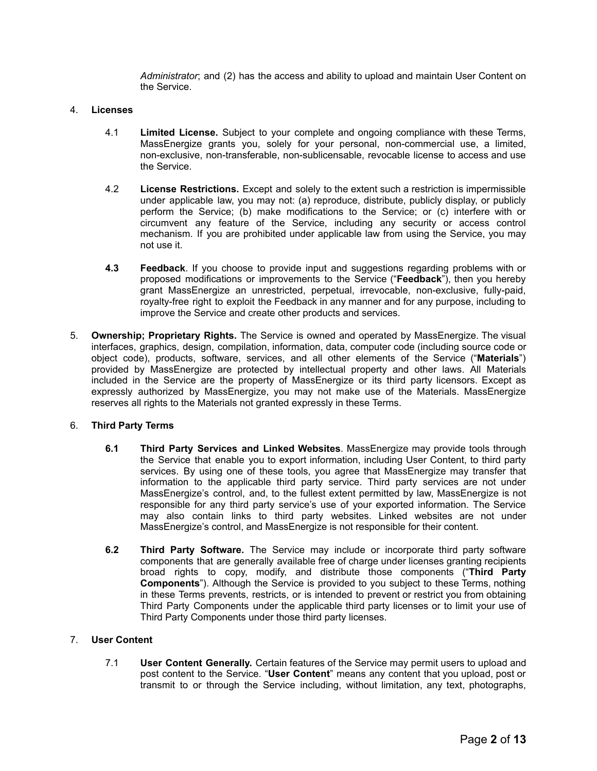*Administrator*; and (2) has the access and ability to upload and maintain User Content on the Service.

## 4. **Licenses**

- 4.1 **Limited License.** Subject to your complete and ongoing compliance with these Terms, MassEnergize grants you, solely for your personal, non-commercial use, a limited, non-exclusive, non-transferable, non-sublicensable, revocable license to access and use the Service.
- 4.2 **License Restrictions.** Except and solely to the extent such a restriction is impermissible under applicable law, you may not: (a) reproduce, distribute, publicly display, or publicly perform the Service; (b) make modifications to the Service; or (c) interfere with or circumvent any feature of the Service, including any security or access control mechanism. If you are prohibited under applicable law from using the Service, you may not use it.
- **4.3 Feedback**. If you choose to provide input and suggestions regarding problems with or proposed modifications or improvements to the Service ("**Feedback**"), then you hereby grant MassEnergize an unrestricted, perpetual, irrevocable, non-exclusive, fully-paid, royalty-free right to exploit the Feedback in any manner and for any purpose, including to improve the Service and create other products and services.
- 5. **Ownership; Proprietary Rights.** The Service is owned and operated by MassEnergize. The visual interfaces, graphics, design, compilation, information, data, computer code (including source code or object code), products, software, services, and all other elements of the Service ("**Materials**") provided by MassEnergize are protected by intellectual property and other laws. All Materials included in the Service are the property of MassEnergize or its third party licensors. Except as expressly authorized by MassEnergize, you may not make use of the Materials. MassEnergize reserves all rights to the Materials not granted expressly in these Terms.

## 6. **Third Party Terms**

- **6.1 Third Party Services and Linked Websites**. MassEnergize may provide tools through the Service that enable you to export information, including User Content, to third party services. By using one of these tools, you agree that MassEnergize may transfer that information to the applicable third party service. Third party services are not under MassEnergize's control, and, to the fullest extent permitted by law, MassEnergize is not responsible for any third party service's use of your exported information. The Service may also contain links to third party websites. Linked websites are not under MassEnergize's control, and MassEnergize is not responsible for their content.
- **6.2 Third Party Software.** The Service may include or incorporate third party software components that are generally available free of charge under licenses granting recipients broad rights to copy, modify, and distribute those components ("**Third Party Components**"). Although the Service is provided to you subject to these Terms, nothing in these Terms prevents, restricts, or is intended to prevent or restrict you from obtaining Third Party Components under the applicable third party licenses or to limit your use of Third Party Components under those third party licenses.

## 7. **User Content**

7.1 **User Content Generally.** Certain features of the Service may permit users to upload and post content to the Service. "**User Content**" means any content that you upload, post or transmit to or through the Service including, without limitation, any text, photographs,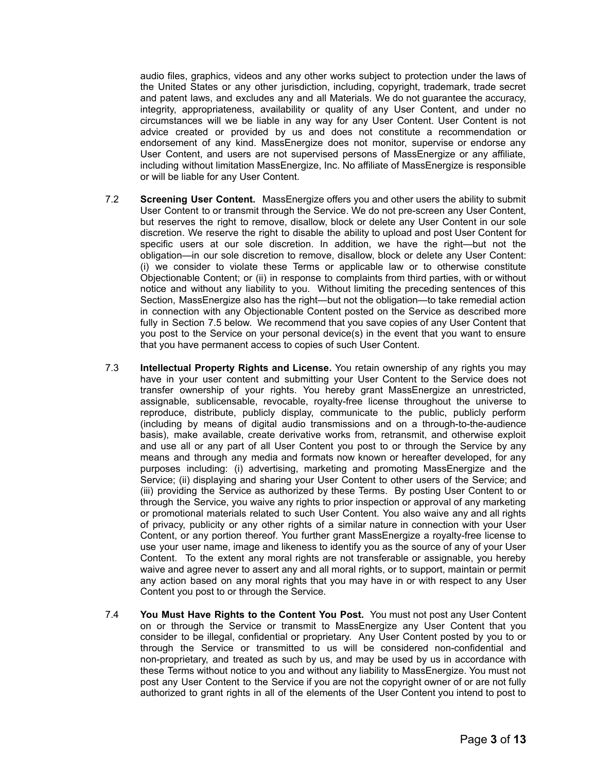audio files, graphics, videos and any other works subject to protection under the laws of the United States or any other jurisdiction, including, copyright, trademark, trade secret and patent laws, and excludes any and all Materials. We do not guarantee the accuracy, integrity, appropriateness, availability or quality of any User Content, and under no circumstances will we be liable in any way for any User Content. User Content is not advice created or provided by us and does not constitute a recommendation or endorsement of any kind. MassEnergize does not monitor, supervise or endorse any User Content, and users are not supervised persons of MassEnergize or any affiliate, including without limitation MassEnergize, Inc. No affiliate of MassEnergize is responsible or will be liable for any User Content.

- 7.2 **Screening User Content.** MassEnergize offers you and other users the ability to submit User Content to or transmit through the Service. We do not pre-screen any User Content, but reserves the right to remove, disallow, block or delete any User Content in our sole discretion. We reserve the right to disable the ability to upload and post User Content for specific users at our sole discretion. In addition, we have the right—but not the obligation—in our sole discretion to remove, disallow, block or delete any User Content: (i) we consider to violate these Terms or applicable law or to otherwise constitute Objectionable Content; or (ii) in response to complaints from third parties, with or without notice and without any liability to you. Without limiting the preceding sentences of this Section, MassEnergize also has the right—but not the obligation—to take remedial action in connection with any Objectionable Content posted on the Service as described more fully in Section 7.5 below. We recommend that you save copies of any User Content that you post to the Service on your personal device(s) in the event that you want to ensure that you have permanent access to copies of such User Content.
- 7.3 **Intellectual Property Rights and License.** You retain ownership of any rights you may have in your user content and submitting your User Content to the Service does not transfer ownership of your rights. You hereby grant MassEnergize an unrestricted, assignable, sublicensable, revocable, royalty-free license throughout the universe to reproduce, distribute, publicly display, communicate to the public, publicly perform (including by means of digital audio transmissions and on a through-to-the-audience basis), make available, create derivative works from, retransmit, and otherwise exploit and use all or any part of all User Content you post to or through the Service by any means and through any media and formats now known or hereafter developed, for any purposes including: (i) advertising, marketing and promoting MassEnergize and the Service; (ii) displaying and sharing your User Content to other users of the Service; and (iii) providing the Service as authorized by these Terms. By posting User Content to or through the Service, you waive any rights to prior inspection or approval of any marketing or promotional materials related to such User Content. You also waive any and all rights of privacy, publicity or any other rights of a similar nature in connection with your User Content, or any portion thereof. You further grant MassEnergize a royalty-free license to use your user name, image and likeness to identify you as the source of any of your User Content. To the extent any moral rights are not transferable or assignable, you hereby waive and agree never to assert any and all moral rights, or to support, maintain or permit any action based on any moral rights that you may have in or with respect to any User Content you post to or through the Service.
- 7.4 **You Must Have Rights to the Content You Post.** You must not post any User Content on or through the Service or transmit to MassEnergize any User Content that you consider to be illegal, confidential or proprietary. Any User Content posted by you to or through the Service or transmitted to us will be considered non-confidential and non-proprietary, and treated as such by us, and may be used by us in accordance with these Terms without notice to you and without any liability to MassEnergize. You must not post any User Content to the Service if you are not the copyright owner of or are not fully authorized to grant rights in all of the elements of the User Content you intend to post to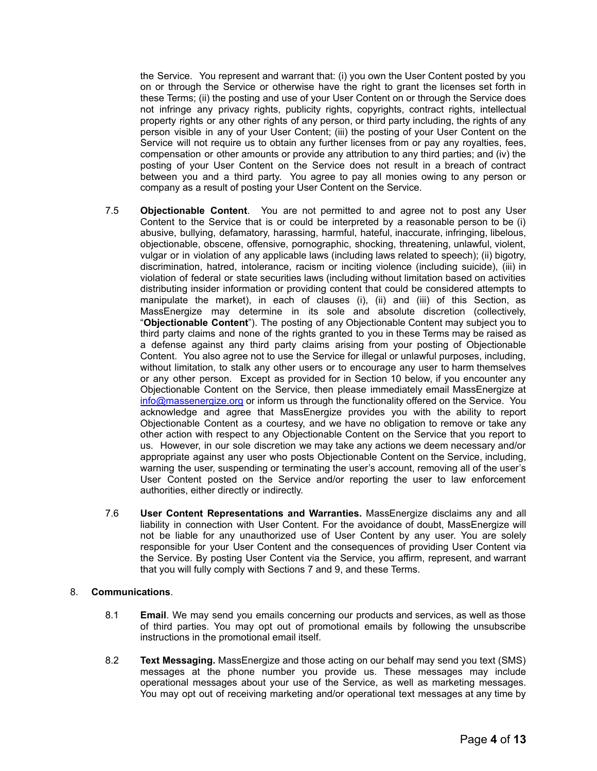the Service. You represent and warrant that: (i) you own the User Content posted by you on or through the Service or otherwise have the right to grant the licenses set forth in these Terms; (ii) the posting and use of your User Content on or through the Service does not infringe any privacy rights, publicity rights, copyrights, contract rights, intellectual property rights or any other rights of any person, or third party including, the rights of any person visible in any of your User Content; (iii) the posting of your User Content on the Service will not require us to obtain any further licenses from or pay any royalties, fees, compensation or other amounts or provide any attribution to any third parties; and (iv) the posting of your User Content on the Service does not result in a breach of contract between you and a third party. You agree to pay all monies owing to any person or company as a result of posting your User Content on the Service.

- 7.5 **Objectionable Content**. You are not permitted to and agree not to post any User Content to the Service that is or could be interpreted by a reasonable person to be (i) abusive, bullying, defamatory, harassing, harmful, hateful, inaccurate, infringing, libelous, objectionable, obscene, offensive, pornographic, shocking, threatening, unlawful, violent, vulgar or in violation of any applicable laws (including laws related to speech); (ii) bigotry, discrimination, hatred, intolerance, racism or inciting violence (including suicide), (iii) in violation of federal or state securities laws (including without limitation based on activities distributing insider information or providing content that could be considered attempts to manipulate the market), in each of clauses (i), (ii) and (iii) of this Section, as MassEnergize may determine in its sole and absolute discretion (collectively, "**Objectionable Content**"). The posting of any Objectionable Content may subject you to third party claims and none of the rights granted to you in these Terms may be raised as a defense against any third party claims arising from your posting of Objectionable Content. You also agree not to use the Service for illegal or unlawful purposes, including, without limitation, to stalk any other users or to encourage any user to harm themselves or any other person. Except as provided for in Section 10 below, if you encounter any Objectionable Content on the Service, then please immediately email MassEnergize at [info@massenergize.org](mailto:info@massenergize.org) or inform us through the functionality offered on the Service. You acknowledge and agree that MassEnergize provides you with the ability to report Objectionable Content as a courtesy, and we have no obligation to remove or take any other action with respect to any Objectionable Content on the Service that you report to us. However, in our sole discretion we may take any actions we deem necessary and/or appropriate against any user who posts Objectionable Content on the Service, including, warning the user, suspending or terminating the user's account, removing all of the user's User Content posted on the Service and/or reporting the user to law enforcement authorities, either directly or indirectly.
- 7.6 **User Content Representations and Warranties.** MassEnergize disclaims any and all liability in connection with User Content. For the avoidance of doubt, MassEnergize will not be liable for any unauthorized use of User Content by any user. You are solely responsible for your User Content and the consequences of providing User Content via the Service. By posting User Content via the Service, you affirm, represent, and warrant that you will fully comply with Sections 7 and 9, and these Terms.

## 8. **Communications**.

- 8.1 **Email**. We may send you emails concerning our products and services, as well as those of third parties. You may opt out of promotional emails by following the unsubscribe instructions in the promotional email itself.
- 8.2 **Text Messaging.** MassEnergize and those acting on our behalf may send you text (SMS) messages at the phone number you provide us. These messages may include operational messages about your use of the Service, as well as marketing messages. You may opt out of receiving marketing and/or operational text messages at any time by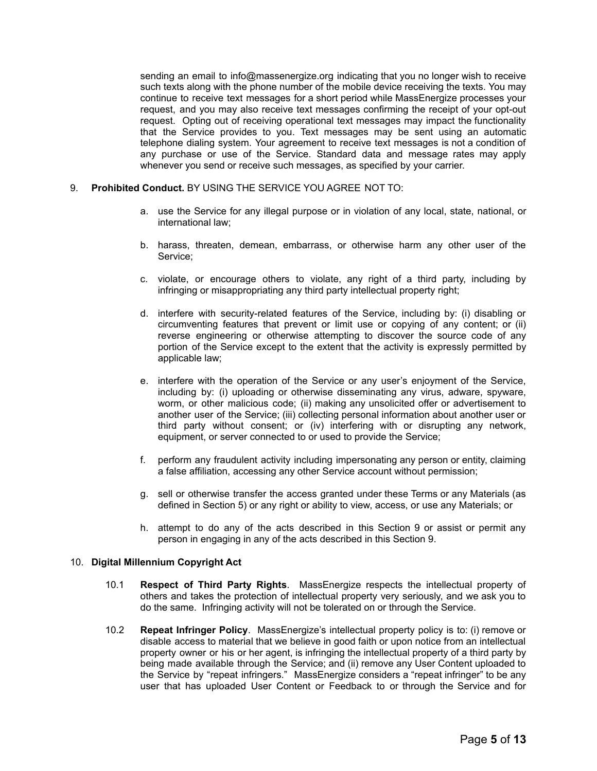sending an email to info@massenergize.org indicating that you no longer wish to receive such texts along with the phone number of the mobile device receiving the texts. You may continue to receive text messages for a short period while MassEnergize processes your request, and you may also receive text messages confirming the receipt of your opt-out request. Opting out of receiving operational text messages may impact the functionality that the Service provides to you. Text messages may be sent using an automatic telephone dialing system. Your agreement to receive text messages is not a condition of any purchase or use of the Service. Standard data and message rates may apply whenever you send or receive such messages, as specified by your carrier.

- 9. **Prohibited Conduct.** BY USING THE SERVICE YOU AGREE NOT TO:
	- a. use the Service for any illegal purpose or in violation of any local, state, national, or international law;
	- b. harass, threaten, demean, embarrass, or otherwise harm any other user of the Service;
	- c. violate, or encourage others to violate, any right of a third party, including by infringing or misappropriating any third party intellectual property right;
	- d. interfere with security-related features of the Service, including by: (i) disabling or circumventing features that prevent or limit use or copying of any content; or (ii) reverse engineering or otherwise attempting to discover the source code of any portion of the Service except to the extent that the activity is expressly permitted by applicable law;
	- e. interfere with the operation of the Service or any user's enjoyment of the Service, including by: (i) uploading or otherwise disseminating any virus, adware, spyware, worm, or other malicious code; (ii) making any unsolicited offer or advertisement to another user of the Service; (iii) collecting personal information about another user or third party without consent; or (iv) interfering with or disrupting any network, equipment, or server connected to or used to provide the Service;
	- f. perform any fraudulent activity including impersonating any person or entity, claiming a false affiliation, accessing any other Service account without permission;
	- g. sell or otherwise transfer the access granted under these Terms or any Materials (as defined in Section 5) or any right or ability to view, access, or use any Materials; or
	- h. attempt to do any of the acts described in this Section 9 or assist or permit any person in engaging in any of the acts described in this Section 9.

## 10. **Digital Millennium Copyright Act**

- 10.1 **Respect of Third Party Rights**. MassEnergize respects the intellectual property of others and takes the protection of intellectual property very seriously, and we ask you to do the same. Infringing activity will not be tolerated on or through the Service.
- 10.2 **Repeat Infringer Policy**. MassEnergize's intellectual property policy is to: (i) remove or disable access to material that we believe in good faith or upon notice from an intellectual property owner or his or her agent, is infringing the intellectual property of a third party by being made available through the Service; and (ii) remove any User Content uploaded to the Service by "repeat infringers." MassEnergize considers a "repeat infringer" to be any user that has uploaded User Content or Feedback to or through the Service and for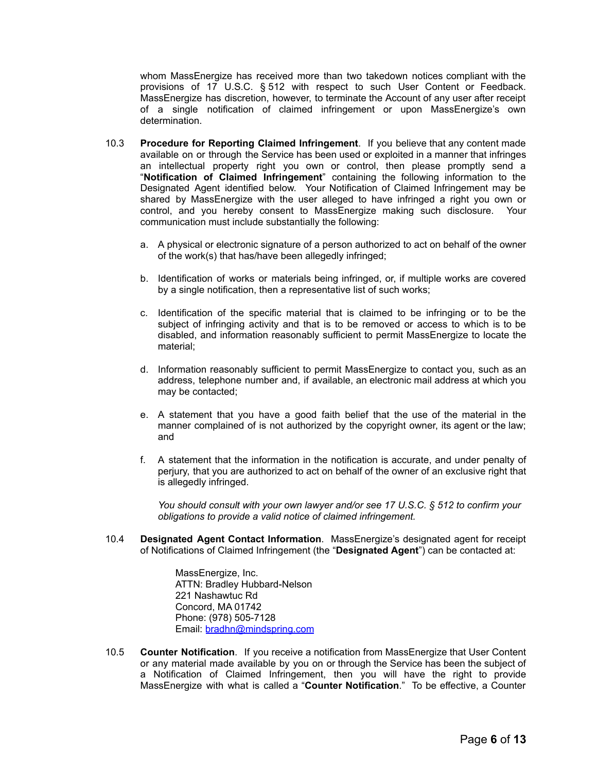whom MassEnergize has received more than two takedown notices compliant with the provisions of 17 U.S.C. § 512 with respect to such User Content or Feedback. MassEnergize has discretion, however, to terminate the Account of any user after receipt of a single notification of claimed infringement or upon MassEnergize's own determination.

- 10.3 **Procedure for Reporting Claimed Infringement**. If you believe that any content made available on or through the Service has been used or exploited in a manner that infringes an intellectual property right you own or control, then please promptly send a "**Notification of Claimed Infringement**" containing the following information to the Designated Agent identified below. Your Notification of Claimed Infringement may be shared by MassEnergize with the user alleged to have infringed a right you own or control, and you hereby consent to MassEnergize making such disclosure. Your communication must include substantially the following:
	- a. A physical or electronic signature of a person authorized to act on behalf of the owner of the work(s) that has/have been allegedly infringed;
	- b. Identification of works or materials being infringed, or, if multiple works are covered by a single notification, then a representative list of such works;
	- c. Identification of the specific material that is claimed to be infringing or to be the subject of infringing activity and that is to be removed or access to which is to be disabled, and information reasonably sufficient to permit MassEnergize to locate the material;
	- d. Information reasonably sufficient to permit MassEnergize to contact you, such as an address, telephone number and, if available, an electronic mail address at which you may be contacted;
	- e. A statement that you have a good faith belief that the use of the material in the manner complained of is not authorized by the copyright owner, its agent or the law; and
	- f. A statement that the information in the notification is accurate, and under penalty of perjury, that you are authorized to act on behalf of the owner of an exclusive right that is allegedly infringed.

*You should consult with your own lawyer and/or see 17 U.S.C. § 512 to confirm your obligations to provide a valid notice of claimed infringement.*

10.4 **Designated Agent Contact Information**. MassEnergize's designated agent for receipt of Notifications of Claimed Infringement (the "**Designated Agent**") can be contacted at:

> MassEnergize, Inc. ATTN: Bradley Hubbard-Nelson 221 Nashawtuc Rd Concord, MA 01742 Phone: (978) 505-7128 Email: [bradhn@mindspring.com](mailto:bradhn@mindspring.com)

10.5 **Counter Notification**. If you receive a notification from MassEnergize that User Content or any material made available by you on or through the Service has been the subject of a Notification of Claimed Infringement, then you will have the right to provide MassEnergize with what is called a "**Counter Notification**." To be effective, a Counter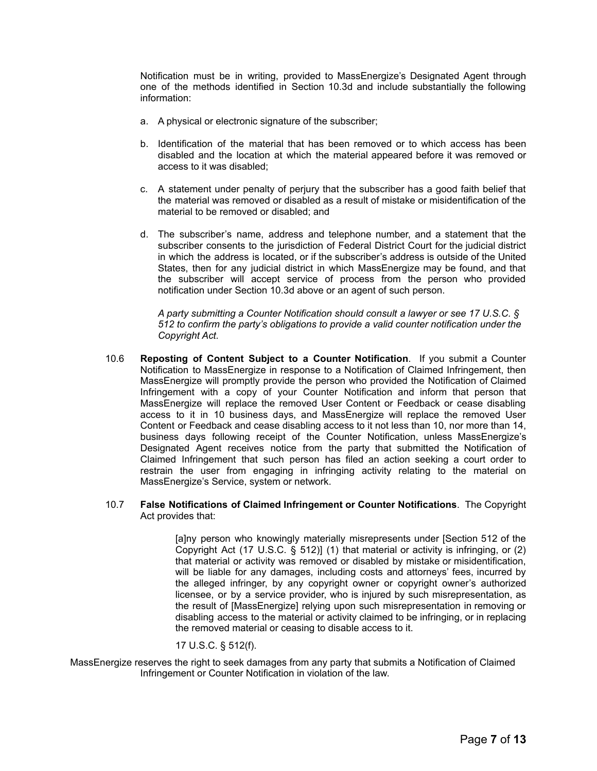Notification must be in writing, provided to MassEnergize's Designated Agent through one of the methods identified in Section 10.3d and include substantially the following information:

- a. A physical or electronic signature of the subscriber;
- b. Identification of the material that has been removed or to which access has been disabled and the location at which the material appeared before it was removed or access to it was disabled;
- c. A statement under penalty of perjury that the subscriber has a good faith belief that the material was removed or disabled as a result of mistake or misidentification of the material to be removed or disabled; and
- d. The subscriber's name, address and telephone number, and a statement that the subscriber consents to the jurisdiction of Federal District Court for the judicial district in which the address is located, or if the subscriber's address is outside of the United States, then for any judicial district in which MassEnergize may be found, and that the subscriber will accept service of process from the person who provided notification under Section 10.3d above or an agent of such person.

*A party submitting a Counter Notification should consult a lawyer or see 17 U.S.C. § 512 to confirm the party's obligations to provide a valid counter notification under the Copyright Act.*

- 10.6 **Reposting of Content Subject to a Counter Notification**. If you submit a Counter Notification to MassEnergize in response to a Notification of Claimed Infringement, then MassEnergize will promptly provide the person who provided the Notification of Claimed Infringement with a copy of your Counter Notification and inform that person that MassEnergize will replace the removed User Content or Feedback or cease disabling access to it in 10 business days, and MassEnergize will replace the removed User Content or Feedback and cease disabling access to it not less than 10, nor more than 14, business days following receipt of the Counter Notification, unless MassEnergize's Designated Agent receives notice from the party that submitted the Notification of Claimed Infringement that such person has filed an action seeking a court order to restrain the user from engaging in infringing activity relating to the material on MassEnergize's Service, system or network.
- 10.7 **False Notifications of Claimed Infringement or Counter Notifications**. The Copyright Act provides that:

[a]ny person who knowingly materially misrepresents under [Section 512 of the Copyright Act (17 U.S.C. § 512)] (1) that material or activity is infringing, or (2) that material or activity was removed or disabled by mistake or misidentification, will be liable for any damages, including costs and attorneys' fees, incurred by the alleged infringer, by any copyright owner or copyright owner's authorized licensee, or by a service provider, who is injured by such misrepresentation, as the result of [MassEnergize] relying upon such misrepresentation in removing or disabling access to the material or activity claimed to be infringing, or in replacing the removed material or ceasing to disable access to it.

#### 17 U.S.C. § 512(f).

MassEnergize reserves the right to seek damages from any party that submits a Notification of Claimed Infringement or Counter Notification in violation of the law.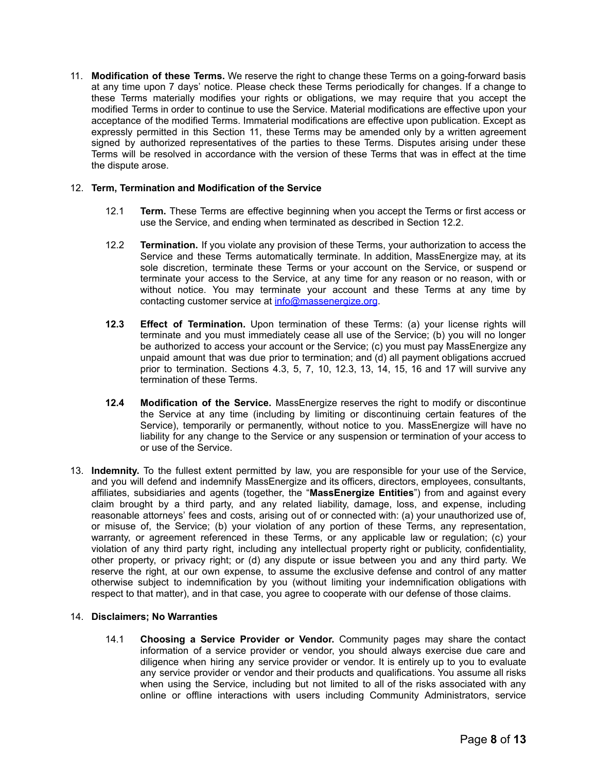11. **Modification of these Terms.** We reserve the right to change these Terms on a going-forward basis at any time upon 7 days' notice. Please check these Terms periodically for changes. If a change to these Terms materially modifies your rights or obligations, we may require that you accept the modified Terms in order to continue to use the Service. Material modifications are effective upon your acceptance of the modified Terms. Immaterial modifications are effective upon publication. Except as expressly permitted in this Section 11, these Terms may be amended only by a written agreement signed by authorized representatives of the parties to these Terms. Disputes arising under these Terms will be resolved in accordance with the version of these Terms that was in effect at the time the dispute arose.

# 12. **Term, Termination and Modification of the Service**

- 12.1 **Term.** These Terms are effective beginning when you accept the Terms or first access or use the Service, and ending when terminated as described in Section 12.2.
- 12.2 **Termination.** If you violate any provision of these Terms, your authorization to access the Service and these Terms automatically terminate. In addition, MassEnergize may, at its sole discretion, terminate these Terms or your account on the Service, or suspend or terminate your access to the Service, at any time for any reason or no reason, with or without notice. You may terminate your account and these Terms at any time by contacting customer service at [info@massenergize.org](mailto:info@massenergize.org).
- **12.3 Effect of Termination.** Upon termination of these Terms: (a) your license rights will terminate and you must immediately cease all use of the Service; (b) you will no longer be authorized to access your account or the Service; (c) you must pay MassEnergize any unpaid amount that was due prior to termination; and (d) all payment obligations accrued prior to termination. Sections 4.3, 5, 7, 10, 12.3, 13, 14, 15, 16 and 17 will survive any termination of these Terms.
- **12.4 Modification of the Service.** MassEnergize reserves the right to modify or discontinue the Service at any time (including by limiting or discontinuing certain features of the Service), temporarily or permanently, without notice to you. MassEnergize will have no liability for any change to the Service or any suspension or termination of your access to or use of the Service.
- 13. **Indemnity.** To the fullest extent permitted by law, you are responsible for your use of the Service, and you will defend and indemnify MassEnergize and its officers, directors, employees, consultants, affiliates, subsidiaries and agents (together, the "**MassEnergize Entities**") from and against every claim brought by a third party, and any related liability, damage, loss, and expense, including reasonable attorneys' fees and costs, arising out of or connected with: (a) your unauthorized use of, or misuse of, the Service; (b) your violation of any portion of these Terms, any representation, warranty, or agreement referenced in these Terms, or any applicable law or regulation; (c) your violation of any third party right, including any intellectual property right or publicity, confidentiality, other property, or privacy right; or (d) any dispute or issue between you and any third party. We reserve the right, at our own expense, to assume the exclusive defense and control of any matter otherwise subject to indemnification by you (without limiting your indemnification obligations with respect to that matter), and in that case, you agree to cooperate with our defense of those claims.

## 14. **Disclaimers; No Warranties**

14.1 **Choosing a Service Provider or Vendor.** Community pages may share the contact information of a service provider or vendor, you should always exercise due care and diligence when hiring any service provider or vendor. It is entirely up to you to evaluate any service provider or vendor and their products and qualifications. You assume all risks when using the Service, including but not limited to all of the risks associated with any online or offline interactions with users including Community Administrators, service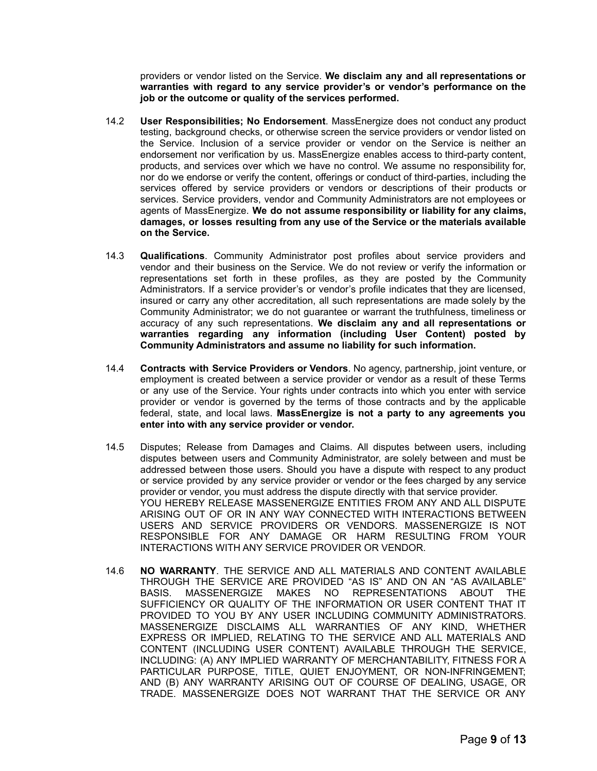providers or vendor listed on the Service. **We disclaim any and all representations or warranties with regard to any service provider's or vendor's performance on the job or the outcome or quality of the services performed.**

- 14.2 **User Responsibilities; No Endorsement**. MassEnergize does not conduct any product testing, background checks, or otherwise screen the service providers or vendor listed on the Service. Inclusion of a service provider or vendor on the Service is neither an endorsement nor verification by us. MassEnergize enables access to third-party content, products, and services over which we have no control. We assume no responsibility for, nor do we endorse or verify the content, offerings or conduct of third-parties, including the services offered by service providers or vendors or descriptions of their products or services. Service providers, vendor and Community Administrators are not employees or agents of MassEnergize. **We do not assume responsibility or liability for any claims, damages, or losses resulting from any use of the Service or the materials available on the Service.**
- 14.3 **Qualifications**. Community Administrator post profiles about service providers and vendor and their business on the Service. We do not review or verify the information or representations set forth in these profiles, as they are posted by the Community Administrators. If a service provider's or vendor's profile indicates that they are licensed, insured or carry any other accreditation, all such representations are made solely by the Community Administrator; we do not guarantee or warrant the truthfulness, timeliness or accuracy of any such representations. **We disclaim any and all representations or warranties regarding any information (including User Content) posted by Community Administrators and assume no liability for such information.**
- 14.4 **Contracts with Service Providers or Vendors**. No agency, partnership, joint venture, or employment is created between a service provider or vendor as a result of these Terms or any use of the Service. Your rights under contracts into which you enter with service provider or vendor is governed by the terms of those contracts and by the applicable federal, state, and local laws. **MassEnergize is not a party to any agreements you enter into with any service provider or vendor.**
- 14.5 Disputes; Release from Damages and Claims. All disputes between users, including disputes between users and Community Administrator, are solely between and must be addressed between those users. Should you have a dispute with respect to any product or service provided by any service provider or vendor or the fees charged by any service provider or vendor, you must address the dispute directly with that service provider. YOU HEREBY RELEASE MASSENERGIZE ENTITIES FROM ANY AND ALL DISPUTE ARISING OUT OF OR IN ANY WAY CONNECTED WITH INTERACTIONS BETWEEN USERS AND SERVICE PROVIDERS OR VENDORS. MASSENERGIZE IS NOT RESPONSIBLE FOR ANY DAMAGE OR HARM RESULTING FROM YOUR INTERACTIONS WITH ANY SERVICE PROVIDER OR VENDOR.
- 14.6 **NO WARRANTY**. THE SERVICE AND ALL MATERIALS AND CONTENT AVAILABLE THROUGH THE SERVICE ARE PROVIDED "AS IS" AND ON AN "AS AVAILABLE" BASIS. MASSENERGIZE MAKES NO REPRESENTATIONS ABOUT THE SUFFICIENCY OR QUALITY OF THE INFORMATION OR USER CONTENT THAT IT PROVIDED TO YOU BY ANY USER INCLUDING COMMUNITY ADMINISTRATORS. MASSENERGIZE DISCLAIMS ALL WARRANTIES OF ANY KIND, WHETHER EXPRESS OR IMPLIED, RELATING TO THE SERVICE AND ALL MATERIALS AND CONTENT (INCLUDING USER CONTENT) AVAILABLE THROUGH THE SERVICE, INCLUDING: (A) ANY IMPLIED WARRANTY OF MERCHANTABILITY, FITNESS FOR A PARTICULAR PURPOSE, TITLE, QUIET ENJOYMENT, OR NON-INFRINGEMENT; AND (B) ANY WARRANTY ARISING OUT OF COURSE OF DEALING, USAGE, OR TRADE. MASSENERGIZE DOES NOT WARRANT THAT THE SERVICE OR ANY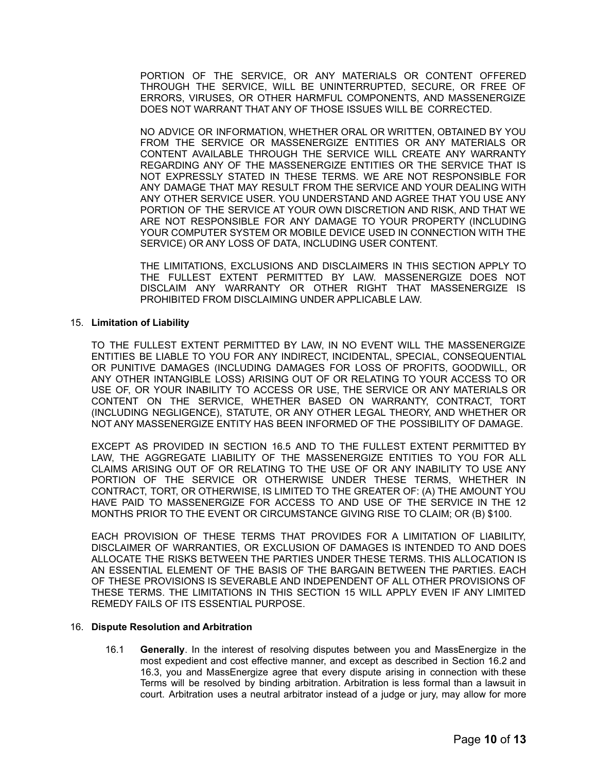PORTION OF THE SERVICE, OR ANY MATERIALS OR CONTENT OFFERED THROUGH THE SERVICE, WILL BE UNINTERRUPTED, SECURE, OR FREE OF ERRORS, VIRUSES, OR OTHER HARMFUL COMPONENTS, AND MASSENERGIZE DOES NOT WARRANT THAT ANY OF THOSE ISSUES WILL BE CORRECTED.

NO ADVICE OR INFORMATION, WHETHER ORAL OR WRITTEN, OBTAINED BY YOU FROM THE SERVICE OR MASSENERGIZE ENTITIES OR ANY MATERIALS OR CONTENT AVAILABLE THROUGH THE SERVICE WILL CREATE ANY WARRANTY REGARDING ANY OF THE MASSENERGIZE ENTITIES OR THE SERVICE THAT IS NOT EXPRESSLY STATED IN THESE TERMS. WE ARE NOT RESPONSIBLE FOR ANY DAMAGE THAT MAY RESULT FROM THE SERVICE AND YOUR DEALING WITH ANY OTHER SERVICE USER. YOU UNDERSTAND AND AGREE THAT YOU USE ANY PORTION OF THE SERVICE AT YOUR OWN DISCRETION AND RISK, AND THAT WE ARE NOT RESPONSIBLE FOR ANY DAMAGE TO YOUR PROPERTY (INCLUDING YOUR COMPUTER SYSTEM OR MOBILE DEVICE USED IN CONNECTION WITH THE SERVICE) OR ANY LOSS OF DATA, INCLUDING USER CONTENT.

THE LIMITATIONS, EXCLUSIONS AND DISCLAIMERS IN THIS SECTION APPLY TO THE FULLEST EXTENT PERMITTED BY LAW. MASSENERGIZE DOES NOT DISCLAIM ANY WARRANTY OR OTHER RIGHT THAT MASSENERGIZE IS PROHIBITED FROM DISCLAIMING UNDER APPLICABLE LAW.

## 15. **Limitation of Liability**

TO THE FULLEST EXTENT PERMITTED BY LAW, IN NO EVENT WILL THE MASSENERGIZE ENTITIES BE LIABLE TO YOU FOR ANY INDIRECT, INCIDENTAL, SPECIAL, CONSEQUENTIAL OR PUNITIVE DAMAGES (INCLUDING DAMAGES FOR LOSS OF PROFITS, GOODWILL, OR ANY OTHER INTANGIBLE LOSS) ARISING OUT OF OR RELATING TO YOUR ACCESS TO OR USE OF, OR YOUR INABILITY TO ACCESS OR USE, THE SERVICE OR ANY MATERIALS OR CONTENT ON THE SERVICE, WHETHER BASED ON WARRANTY, CONTRACT, TORT (INCLUDING NEGLIGENCE), STATUTE, OR ANY OTHER LEGAL THEORY, AND WHETHER OR NOT ANY MASSENERGIZE ENTITY HAS BEEN INFORMED OF THE POSSIBILITY OF DAMAGE.

EXCEPT AS PROVIDED IN SECTION 16.5 AND TO THE FULLEST EXTENT PERMITTED BY LAW, THE AGGREGATE LIABILITY OF THE MASSENERGIZE ENTITIES TO YOU FOR ALL CLAIMS ARISING OUT OF OR RELATING TO THE USE OF OR ANY INABILITY TO USE ANY PORTION OF THE SERVICE OR OTHERWISE UNDER THESE TERMS, WHETHER IN CONTRACT, TORT, OR OTHERWISE, IS LIMITED TO THE GREATER OF: (A) THE AMOUNT YOU HAVE PAID TO MASSENERGIZE FOR ACCESS TO AND USE OF THE SERVICE IN THE 12 MONTHS PRIOR TO THE EVENT OR CIRCUMSTANCE GIVING RISE TO CLAIM; OR (B) \$100.

EACH PROVISION OF THESE TERMS THAT PROVIDES FOR A LIMITATION OF LIABILITY, DISCLAIMER OF WARRANTIES, OR EXCLUSION OF DAMAGES IS INTENDED TO AND DOES ALLOCATE THE RISKS BETWEEN THE PARTIES UNDER THESE TERMS. THIS ALLOCATION IS AN ESSENTIAL ELEMENT OF THE BASIS OF THE BARGAIN BETWEEN THE PARTIES. EACH OF THESE PROVISIONS IS SEVERABLE AND INDEPENDENT OF ALL OTHER PROVISIONS OF THESE TERMS. THE LIMITATIONS IN THIS SECTION 15 WILL APPLY EVEN IF ANY LIMITED REMEDY FAILS OF ITS ESSENTIAL PURPOSE.

#### 16. **Dispute Resolution and Arbitration**

16.1 **Generally**. In the interest of resolving disputes between you and MassEnergize in the most expedient and cost effective manner, and except as described in Section 16.2 and 16.3, you and MassEnergize agree that every dispute arising in connection with these Terms will be resolved by binding arbitration. Arbitration is less formal than a lawsuit in court. Arbitration uses a neutral arbitrator instead of a judge or jury, may allow for more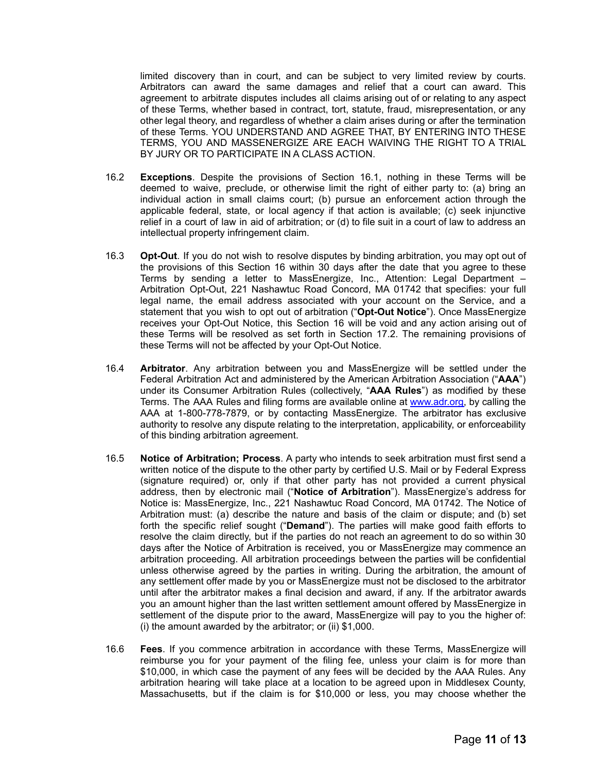limited discovery than in court, and can be subject to very limited review by courts. Arbitrators can award the same damages and relief that a court can award. This agreement to arbitrate disputes includes all claims arising out of or relating to any aspect of these Terms, whether based in contract, tort, statute, fraud, misrepresentation, or any other legal theory, and regardless of whether a claim arises during or after the termination of these Terms. YOU UNDERSTAND AND AGREE THAT, BY ENTERING INTO THESE TERMS, YOU AND MASSENERGIZE ARE EACH WAIVING THE RIGHT TO A TRIAL BY JURY OR TO PARTICIPATE IN A CLASS ACTION.

- 16.2 **Exceptions**. Despite the provisions of Section 16.1, nothing in these Terms will be deemed to waive, preclude, or otherwise limit the right of either party to: (a) bring an individual action in small claims court; (b) pursue an enforcement action through the applicable federal, state, or local agency if that action is available; (c) seek injunctive relief in a court of law in aid of arbitration; or (d) to file suit in a court of law to address an intellectual property infringement claim.
- 16.3 **Opt-Out**. If you do not wish to resolve disputes by binding arbitration, you may opt out of the provisions of this Section 16 within 30 days after the date that you agree to these Terms by sending a letter to MassEnergize, Inc., Attention: Legal Department – Arbitration Opt-Out, 221 Nashawtuc Road Concord, MA 01742 that specifies: your full legal name, the email address associated with your account on the Service, and a statement that you wish to opt out of arbitration ("**Opt-Out Notice**"). Once MassEnergize receives your Opt-Out Notice, this Section 16 will be void and any action arising out of these Terms will be resolved as set forth in Section 17.2. The remaining provisions of these Terms will not be affected by your Opt-Out Notice.
- 16.4 **Arbitrator**. Any arbitration between you and MassEnergize will be settled under the Federal Arbitration Act and administered by the American Arbitration Association ("**AAA**") under its Consumer Arbitration Rules (collectively, "**AAA Rules**") as modified by these Terms. The AAA Rules and filing forms are available online at [www.adr.org,](http://www.adr.org/) by calling the AAA at 1-800-778-7879, or by contacting MassEnergize. The arbitrator has exclusive authority to resolve any dispute relating to the interpretation, applicability, or enforceability of this binding arbitration agreement.
- 16.5 **Notice of Arbitration; Process**. A party who intends to seek arbitration must first send a written notice of the dispute to the other party by certified U.S. Mail or by Federal Express (signature required) or, only if that other party has not provided a current physical address, then by electronic mail ("**Notice of Arbitration**"). MassEnergize's address for Notice is: MassEnergize, Inc., 221 Nashawtuc Road Concord, MA 01742. The Notice of Arbitration must: (a) describe the nature and basis of the claim or dispute; and (b) set forth the specific relief sought ("**Demand**"). The parties will make good faith efforts to resolve the claim directly, but if the parties do not reach an agreement to do so within 30 days after the Notice of Arbitration is received, you or MassEnergize may commence an arbitration proceeding. All arbitration proceedings between the parties will be confidential unless otherwise agreed by the parties in writing. During the arbitration, the amount of any settlement offer made by you or MassEnergize must not be disclosed to the arbitrator until after the arbitrator makes a final decision and award, if any. If the arbitrator awards you an amount higher than the last written settlement amount offered by MassEnergize in settlement of the dispute prior to the award, MassEnergize will pay to you the higher of: (i) the amount awarded by the arbitrator; or (ii) \$1,000.
- 16.6 **Fees**. If you commence arbitration in accordance with these Terms, MassEnergize will reimburse you for your payment of the filing fee, unless your claim is for more than \$10,000, in which case the payment of any fees will be decided by the AAA Rules. Any arbitration hearing will take place at a location to be agreed upon in Middlesex County, Massachusetts, but if the claim is for \$10,000 or less, you may choose whether the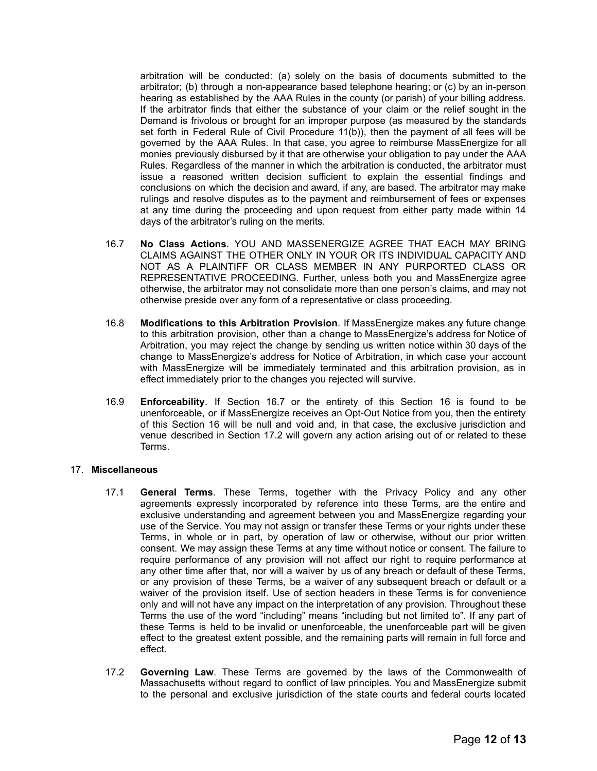arbitration will be conducted: (a) solely on the basis of documents submitted to the arbitrator; (b) through a non-appearance based telephone hearing; or (c) by an in-person hearing as established by the AAA Rules in the county (or parish) of your billing address. If the arbitrator finds that either the substance of your claim or the relief sought in the Demand is frivolous or brought for an improper purpose (as measured by the standards set forth in Federal Rule of Civil Procedure 11(b)), then the payment of all fees will be governed by the AAA Rules. In that case, you agree to reimburse MassEnergize for all monies previously disbursed by it that are otherwise your obligation to pay under the AAA Rules. Regardless of the manner in which the arbitration is conducted, the arbitrator must issue a reasoned written decision sufficient to explain the essential findings and conclusions on which the decision and award, if any, are based. The arbitrator may make rulings and resolve disputes as to the payment and reimbursement of fees or expenses at any time during the proceeding and upon request from either party made within 14 days of the arbitrator's ruling on the merits.

- 16.7 **No Class Actions**. YOU AND MASSENERGIZE AGREE THAT EACH MAY BRING CLAIMS AGAINST THE OTHER ONLY IN YOUR OR ITS INDIVIDUAL CAPACITY AND NOT AS A PLAINTIFF OR CLASS MEMBER IN ANY PURPORTED CLASS OR REPRESENTATIVE PROCEEDING. Further, unless both you and MassEnergize agree otherwise, the arbitrator may not consolidate more than one person's claims, and may not otherwise preside over any form of a representative or class proceeding.
- 16.8 **Modifications to this Arbitration Provision**. If MassEnergize makes any future change to this arbitration provision, other than a change to MassEnergize's address for Notice of Arbitration, you may reject the change by sending us written notice within 30 days of the change to MassEnergize's address for Notice of Arbitration, in which case your account with MassEnergize will be immediately terminated and this arbitration provision, as in effect immediately prior to the changes you rejected will survive.
- 16.9 **Enforceability**. If Section 16.7 or the entirety of this Section 16 is found to be unenforceable, or if MassEnergize receives an Opt-Out Notice from you, then the entirety of this Section 16 will be null and void and, in that case, the exclusive jurisdiction and venue described in Section 17.2 will govern any action arising out of or related to these Terms.

## 17. **Miscellaneous**

- 17.1 **General Terms**. These Terms, together with the Privacy Policy and any other agreements expressly incorporated by reference into these Terms, are the entire and exclusive understanding and agreement between you and MassEnergize regarding your use of the Service. You may not assign or transfer these Terms or your rights under these Terms, in whole or in part, by operation of law or otherwise, without our prior written consent. We may assign these Terms at any time without notice or consent. The failure to require performance of any provision will not affect our right to require performance at any other time after that, nor will a waiver by us of any breach or default of these Terms, or any provision of these Terms, be a waiver of any subsequent breach or default or a waiver of the provision itself. Use of section headers in these Terms is for convenience only and will not have any impact on the interpretation of any provision. Throughout these Terms the use of the word "including" means "including but not limited to". If any part of these Terms is held to be invalid or unenforceable, the unenforceable part will be given effect to the greatest extent possible, and the remaining parts will remain in full force and effect.
- 17.2 **Governing Law**. These Terms are governed by the laws of the Commonwealth of Massachusetts without regard to conflict of law principles. You and MassEnergize submit to the personal and exclusive jurisdiction of the state courts and federal courts located